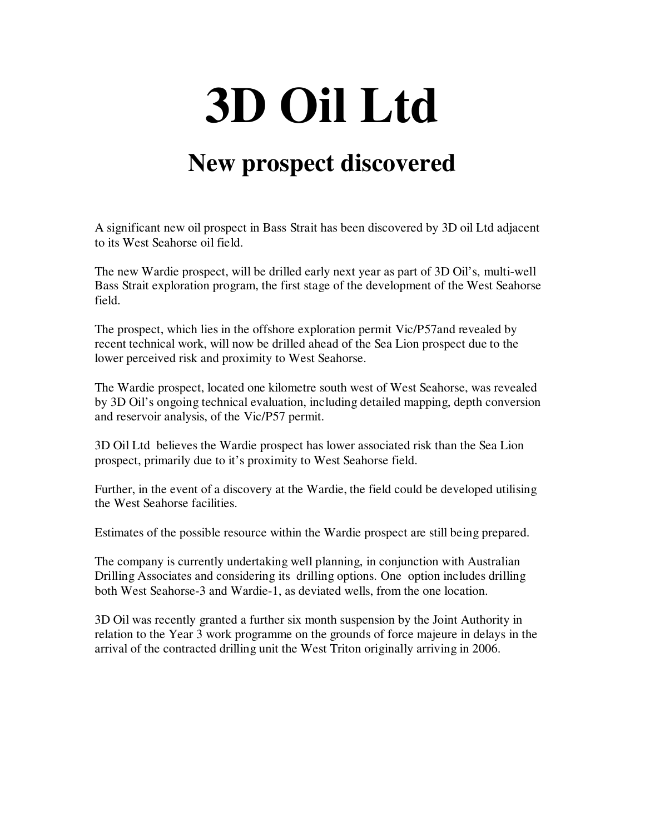## **3D Oil Ltd**

## **New prospect discovered**

A significant new oil prospect in Bass Strait has been discovered by 3D oil Ltd adjacent to its West Seahorse oil field.

The new Wardie prospect, will be drilled early next year as part of 3D Oil's, multi-well Bass Strait exploration program, the first stage of the development of the West Seahorse field.

The prospect, which lies in the offshore exploration permit Vic/P57and revealed by recent technical work, will now be drilled ahead of the Sea Lion prospect due to the lower perceived risk and proximity to West Seahorse.

The Wardie prospect, located one kilometre south west of West Seahorse, was revealed by 3D Oil's ongoing technical evaluation, including detailed mapping, depth conversion and reservoir analysis, of the Vic/P57 permit.

3D Oil Ltd believes the Wardie prospect has lower associated risk than the Sea Lion prospect, primarily due to it's proximity to West Seahorse field.

Further, in the event of a discovery at the Wardie, the field could be developed utilising the West Seahorse facilities.

Estimates of the possible resource within the Wardie prospect are still being prepared.

The company is currently undertaking well planning, in conjunction with Australian Drilling Associates and considering its drilling options. One option includes drilling both West Seahorse-3 and Wardie-1, as deviated wells, from the one location.

3D Oil was recently granted a further six month suspension by the Joint Authority in relation to the Year 3 work programme on the grounds of force majeure in delays in the arrival of the contracted drilling unit the West Triton originally arriving in 2006.